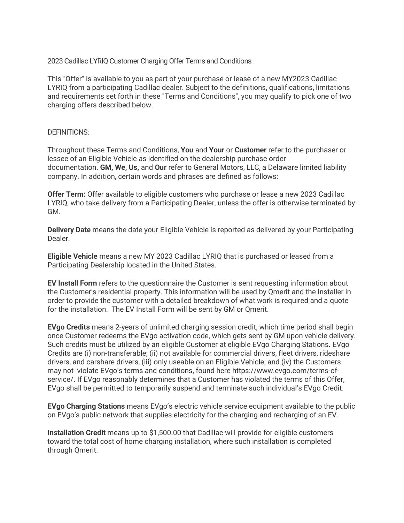2023 Cadillac LYRIQ Customer Charging Offer Terms and Conditions

This "Offer" is available to you as part of your purchase or lease of a new MY2023 Cadillac LYRIQ from a participating Cadillac dealer. Subject to the definitions, qualifications, limitations and requirements set forth in these "Terms and Conditions", you may qualify to pick one of two charging offers described below.

## DEFINITIONS:

Throughout these Terms and Conditions, **You** and **Your** or **Customer** refer to the purchaser or lessee of an Eligible Vehicle as identified on the dealership purchase order documentation. **GM, We, Us,** and **Our** refer to General Motors, LLC, a Delaware limited liability company. In addition, certain words and phrases are defined as follows:

**Offer Term:** Offer available to eligible customers who purchase or lease a new 2023 Cadillac LYRIQ, who take delivery from a Participating Dealer, unless the offer is otherwise terminated by GM.

**Delivery Date** means the date your Eligible Vehicle is reported as delivered by your Participating Dealer.

**Eligible Vehicle** means a new MY 2023 Cadillac LYRIQ that is purchased or leased from a Participating Dealership located in the United States.

**EV Install Form** refers to the questionnaire the Customer is sent requesting information about the Customer's residential property. This information will be used by Qmerit and the Installer in order to provide the customer with a detailed breakdown of what work is required and a quote for the installation. The EV Install Form will be sent by GM or Qmerit.

**EVgo Credits** means 2-years of unlimited charging session credit, which time period shall begin once Customer redeems the EVgo activation code, which gets sent by GM upon vehicle delivery. Such credits must be utilized by an eligible Customer at eligible EVgo Charging Stations. EVgo Credits are (i) non-transferable; (ii) not available for commercial drivers, fleet drivers, rideshare drivers, and carshare drivers, (iii) only useable on an Eligible Vehicle; and (iv) the Customers may not violate EVgo's terms and conditions, found here https://www.evgo.com/terms-ofservice/. If EVgo reasonably determines that a Customer has violated the terms of this Offer, EVgo shall be permitted to temporarily suspend and terminate such individual's EVgo Credit.

**EVgo Charging Stations** means EVgo's electric vehicle service equipment available to the public on EVgo's public network that supplies electricity for the charging and recharging of an EV.

**Installation Credit** means up to \$1,500.00 that Cadillac will provide for eligible customers toward the total cost of home charging installation, where such installation is completed through Qmerit.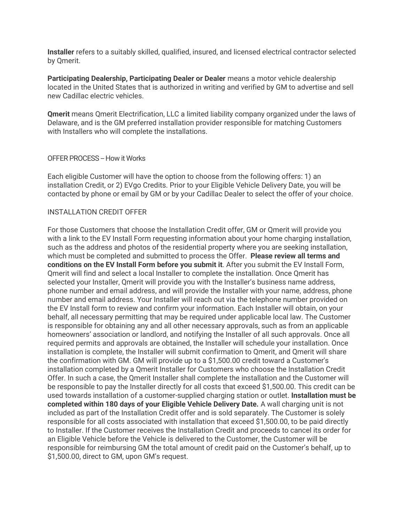**Installer** refers to a suitably skilled, qualified, insured, and licensed electrical contractor selected by Qmerit.

**Participating Dealership, Participating Dealer or Dealer** means a motor vehicle dealership located in the United States that is authorized in writing and verified by GM to advertise and sell new Cadillac electric vehicles.

**Qmerit** means Qmerit Electrification, LLC a limited liability company organized under the laws of Delaware, and is the GM preferred installation provider responsible for matching Customers with Installers who will complete the installations.

### OFFER PROCESS - How it Works

Each eligible Customer will have the option to choose from the following offers: 1) an installation Credit, or 2) EVgo Credits. Prior to your Eligible Vehicle Delivery Date, you will be contacted by phone or email by GM or by your Cadillac Dealer to select the offer of your choice.

## INSTALLATION CREDIT OFFER

For those Customers that choose the Installation Credit offer, GM or Qmerit will provide you with a link to the EV Install Form requesting information about your home charging installation, such as the address and photos of the residential property where you are seeking installation, which must be completed and submitted to process the Offer. **Please review all terms and conditions on the EV Install Form before you submit it**. After you submit the EV Install Form, Qmerit will find and select a local Installer to complete the installation. Once Qmerit has selected your Installer, Qmerit will provide you with the Installer's business name address, phone number and email address, and will provide the Installer with your name, address, phone number and email address. Your Installer will reach out via the telephone number provided on the EV Install form to review and confirm your information. Each Installer will obtain, on your behalf, all necessary permitting that may be required under applicable local law. The Customer is responsible for obtaining any and all other necessary approvals, such as from an applicable homeowners' association or landlord, and notifying the Installer of all such approvals. Once all required permits and approvals are obtained, the Installer will schedule your installation. Once installation is complete, the Installer will submit confirmation to Qmerit, and Qmerit will share the confirmation with GM. GM will provide up to a \$1,500.00 credit toward a Customer's installation completed by a Qmerit Installer for Customers who choose the Installation Credit Offer. In such a case, the Qmerit Installer shall complete the installation and the Customer will be responsible to pay the Installer directly for all costs that exceed \$1,500.00. This credit can be used towards installation of a customer-supplied charging station or outlet. **Installation must be completed within 180 days of your Eligible Vehicle Delivery Date.** A wall charging unit is not included as part of the Installation Credit offer and is sold separately. The Customer is solely responsible for all costs associated with installation that exceed \$1,500.00, to be paid directly to Installer. If the Customer receives the Installation Credit and proceeds to cancel its order for an Eligible Vehicle before the Vehicle is delivered to the Customer, the Customer will be responsible for reimbursing GM the total amount of credit paid on the Customer's behalf, up to \$1,500.00, direct to GM, upon GM's request.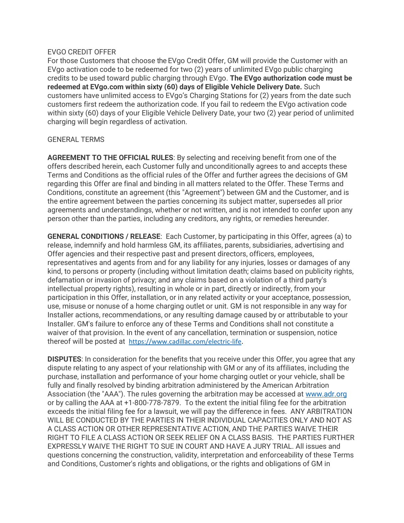## EVGO CREDIT OFFER

For those Customers that choose the EVgo Credit Offer, GM will provide the Customer with an EVgo activation code to be redeemed for two (2) years of unlimited EVgo public charging credits to be used toward public charging through EVgo. **The EVgo authorization code must be redeemed at EVgo.com within sixty (60) days of Eligible Vehicle Delivery Date.** Such customers have unlimited access to EVgo's Charging Stations for (2) years from the date such customers first redeem the authorization code. If you fail to redeem the EVgo activation code within sixty (60) days of your Eligible Vehicle Delivery Date, your two (2) year period of unlimited charging will begin regardless of activation.

# GENERAL TERMS

**AGREEMENT TO THE OFFICIAL RULES**: By selecting and receiving benefit from one of the offers described herein, each Customer fully and unconditionally agrees to and accepts these Terms and Conditions as the official rules of the Offer and further agrees the decisions of GM regarding this Offer are final and binding in all matters related to the Offer. These Terms and Conditions, constitute an agreement (this "Agreement") between GM and the Customer, and is the entire agreement between the parties concerning its subject matter, supersedes all prior agreements and understandings, whether or not written, and is not intended to confer upon any person other than the parties, including any creditors, any rights, or remedies hereunder.

**GENERAL CONDITIONS / RELEASE**: Each Customer, by participating in this Offer, agrees (a) to release, indemnify and hold harmless GM, its affiliates, parents, subsidiaries, advertising and Offer agencies and their respective past and present directors, officers, employees, representatives and agents from and for any liability for any injuries, losses or damages of any kind, to persons or property (including without limitation death; claims based on publicity rights, defamation or invasion of privacy; and any claims based on a violation of a third party's intellectual property rights), resulting in whole or in part, directly or indirectly, from your participation in this Offer, installation, or in any related activity or your acceptance, possession, use, misuse or nonuse of a home charging outlet or unit. GM is not responsible in any way for Installer actions, recommendations, or any resulting damage caused by or attributable to your Installer. GM's failure to enforce any of these Terms and Conditions shall not constitute a waiver of that provision. In the event of any cancellation, termination or suspension, notice thereof will be posted at [https://www.cadillac.com/electric-life.](https://www.cadillac.com/electric-life)

**DISPUTES**: In consideration for the benefits that you receive under this Offer, you agree that any dispute relating to any aspect of your relationship with GM or any of its affiliates, including the purchase, installation and performance of your home charging outlet or your vehicle, shall be fully and finally resolved by binding arbitration administered by the American Arbitration Association (the "AAA"). The rules governing the arbitration may be accessed at [www.adr.org](http://www.adr.org/) or by calling the AAA at +1-800-778-7879. To the extent the initial filing fee for the arbitration exceeds the initial filing fee for a lawsuit, we will pay the difference in fees. ANY ARBITRATION WILL BE CONDUCTED BY THE PARTIES IN THEIR INDIVIDUAL CAPACITIES ONLY AND NOT AS A CLASS ACTION OR OTHER REPRESENTATIVE ACTION, AND THE PARTIES WAIVE THEIR RIGHT TO FILE A CLASS ACTION OR SEEK RELIEF ON A CLASS BASIS. THE PARTIES FURTHER EXPRESSLY WAIVE THE RIGHT TO SUE IN COURT AND HAVE A JURY TRIAL. All issues and questions concerning the construction, validity, interpretation and enforceability of these Terms and Conditions, Customer's rights and obligations, or the rights and obligations of GM in